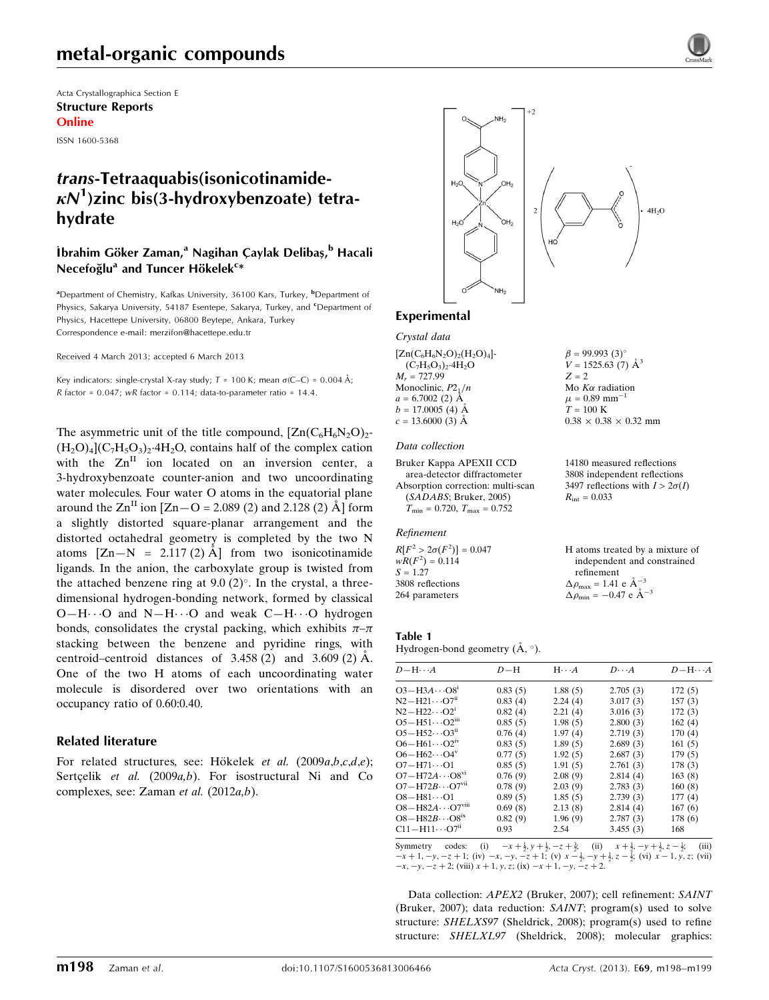Acta Crystallographica Section E Structure Reports Online

ISSN 1600-5368

## trans-Tetraaquabis(isonicotinamide- $\kappa$ N<sup>1</sup>)zinc bis(3-hydroxybenzoate) tetrahydrate

## .<br>İbrahim Göker Zaman,<sup>a</sup> Nagihan Çaylak Delibaş,<sup>b</sup> Hacali Necefoğlu<sup>a</sup> and Tuncer Hökelek<sup>c</sup>\*

<sup>a</sup>Department of Chemistry, Kafkas University, 36100 Kars, Turkey, <sup>b</sup>Department of Physics, Sakarya University, 54187 Esentepe, Sakarya, Turkey, and <sup>c</sup>Department of Physics, Hacettepe University, 06800 Beytepe, Ankara, Turkey Correspondence e-mail: [merzifon@hacettepe.edu.tr](https://scripts.iucr.org/cgi-bin/cr.cgi?rm=pdfbb&cnor=xu5683&bbid=BB14)

Received 4 March 2013; accepted 6 March 2013

Key indicators: single-crystal X-ray study;  $T = 100$  K; mean  $\sigma$ (C–C) = 0.004 Å; R factor =  $0.047$ ; wR factor =  $0.114$ ; data-to-parameter ratio =  $14.4$ .

The asymmetric unit of the title compound,  $[Zn(C_6H_6N_2O)_2$ - $(H_2O)_4(C_7H_5O_3)_2$ -4H<sub>2</sub>O, contains half of the complex cation with the  $Zn<sup>II</sup>$  ion located on an inversion center, a 3-hydroxybenzoate counter-anion and two uncoordinating water molecules. Four water O atoms in the equatorial plane around the  $\text{Zn}^{\text{II}}$  ion  $[\text{Zn-O} = 2.089 \text{ (2)}$  and 2.128 (2)  $\text{Å}]$  form a slightly distorted square-planar arrangement and the distorted octahedral geometry is completed by the two N atoms  $[Zn-N = 2.117(2)$  Å from two isonicotinamide ligands. In the anion, the carboxylate group is twisted from the attached benzene ring at  $9.0 \,(2)^{\circ}$ . In the crystal, a threedimensional hydrogen-bonding network, formed by classical  $O-H\cdots O$  and  $N-H\cdots O$  and weak  $C-H\cdots O$  hydrogen bonds, consolidates the crystal packing, which exhibits  $\pi-\pi$ stacking between the benzene and pyridine rings, with centroid–centroid distances of  $3.458(2)$  and  $3.609(2)$  Å. One of the two H atoms of each uncoordinating water molecule is disordered over two orientations with an occupancy ratio of 0.60:0.40.

### Related literature

For related structures, see: Hökelek et al.  $(2009a,b,c,d,e)$ ; Sertçelik et al.  $(2009a,b)$ . For isostructural Ni and Co complexes, see: Zaman et al. (2012a,b).



#### Experimental

Crystal data

 $[Zn(C_6H_6N_2O)_2(H_2O)_4]$ - $(C_7H_5O_3)_2.4H_2O$  $M_r = 727.99$ Monoclinic,  $P2_1/n$  $a = 6.7002$  (2)  $\AA$  $b = 17.0005(4)$  Å  $c = 13.6000(3)$  Å

#### Data collection

Bruker Kappa APEXII CCD area-detector diffractometer Absorption correction: multi-scan (SADABS; Bruker, 2005)  $T_{\text{min}} = 0.720, T_{\text{max}} = 0.752$ 

#### Refinement

 $R[F^2 > 2\sigma(F^2)] = 0.047$  $wR(F^2) = 0.114$  $S = 1.27$ 3808 reflections 264 parameters

 $Z = 2$ Mo  $K\alpha$  radiation  $\mu$  = 0.89  $\text{mm}^{-1}$  $T=100~\mathrm{K}$  $0.38 \times 0.38 \times 0.32$  mm

 $\beta = 99.993$  (3)<sup>o</sup>  $V = 1525.63(7)$  Å<sup>3</sup>

14180 measured reflections 3808 independent reflections 3497 reflections with  $I > 2\sigma(I)$  $R_{\text{int}} = 0.033$ 

H atoms treated by a mixture of independent and constrained refinement  $\Delta \rho_{\text{max}} = 1.41 \text{ e } \text{\AA}_{\text{\tiny s}}^{-3}$  $\Delta \rho_{\text{min}} = -0.47 \text{ e } \text{\AA}^{-3}$ 

## Table 1

Hydrogen-bond geometry  $(\mathbf{A}, \circ)$ .

|                                       |         |         |          | $D - H \cdots A$ |
|---------------------------------------|---------|---------|----------|------------------|
| $O3 - H3A \cdots O8$ <sup>1</sup>     | 0.83(5) | 1.88(5) | 2.705(3) | 172(5)           |
| $N2 - H21 \cdots O7ii$                | 0.83(4) | 2.24(4) | 3.017(3) | 157(3)           |
| $N2 - H22 \cdots O2^{1}$              | 0.82(4) | 2.21(4) | 3.016(3) | 172(3)           |
| $O5 - H51 \cdots O2m$                 | 0.85(5) | 1.98(5) | 2.800(3) | 162(4)           |
| $O5 - H52 \cdots O3ii$                | 0.76(4) | 1.97(4) | 2.719(3) | 170(4)           |
| $O6 - H61 \cdots O2^W$                | 0.83(5) | 1.89(5) | 2.689(3) | 161(5)           |
| $O6 - H62 \cdots O4^v$                | 0.77(5) | 1.92(5) | 2.687(3) | 179(5)           |
| $O7 - H71 \cdots O1$                  | 0.85(5) | 1.91(5) | 2.761(3) | 178(3)           |
| $O7 - H72A \cdots O8^{v_1}$           | 0.76(9) | 2.08(9) | 2.814(4) | 163(8)           |
| $O7 - H72B \cdots O7$ <sup>vii</sup>  | 0.78(9) | 2.03(9) | 2.783(3) | 160(8)           |
| $O8 - H81 \cdots O1$                  | 0.89(5) | 1.85(5) | 2.739(3) | 177(4)           |
| $O8 - H82A \cdots O7$ <sup>viii</sup> | 0.69(8) | 2.13(8) | 2.814(4) | 167(6)           |
| $O8 - H82B \cdots O8$ <sup>ix</sup>   | 0.82(9) | 1.96(9) | 2.787(3) | 178(6)           |
| $C11 - H11 \cdots O7n$                | 0.93    | 2.54    | 3.455(3) | 168              |

Symmetry codes: (i)  $-x + \frac{1}{2}$ ,  $y + \frac{1}{2}$ ,  $-z + \frac{3}{2}$ , (ii)  $x + \frac{1}{2}$ ,  $-y + \frac{1}{2}$ ,  $z - \frac{1}{2}$ , (iii)  $-x + 1$ ,  $-y$ ,  $-z + 1$ ; (iv)  $-x$ ,  $-y$ ,  $-z + 1$ ; (v)  $x - \frac{1}{2}$ ,  $-y + \frac{1}{2}$ ,  $z - \frac{1}{2}$ ; (vi)  $x - 1$ ,  $y$ ,  $z$ ; (v  $-x, -y, -z + 2$ ; (viii)  $x + 1, y, z$ ; (ix)  $-x + 1, -y, -z + 2$ .

Data collection: APEX2 (Bruker, 2007); cell refinement: SAINT (Bruker, 2007); data reduction: SAINT; program(s) used to solve structure: SHELXS97 (Sheldrick, 2008); program(s) used to refine structure: SHELXL97 (Sheldrick, 2008); molecular graphics: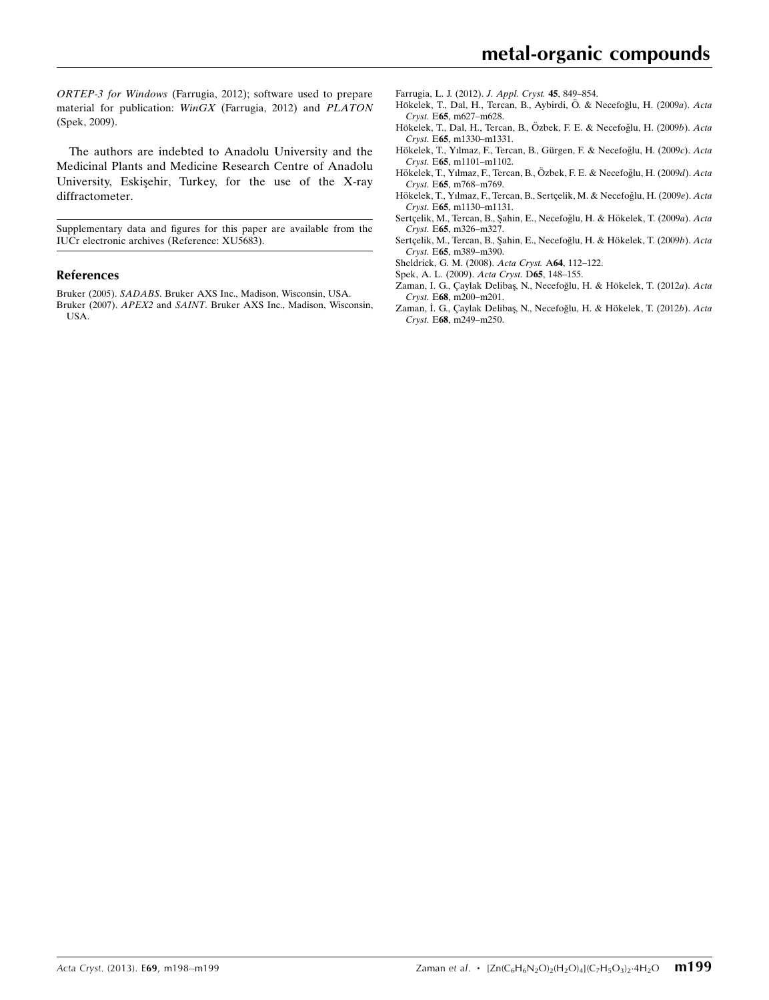ORTEP-3 for Windows (Farrugia, 2012); software used to prepare material for publication: WinGX (Farrugia, 2012) and PLATON (Spek, 2009).

The authors are indebted to Anadolu University and the Medicinal Plants and Medicine Research Centre of Anadolu University, Eskisehir, Turkey, for the use of the X-ray diffractometer.

Supplementary data and figures for this paper are available from the IUCr electronic archives (Reference: XU5683).

#### References

Bruker (2005). SADABS[. Bruker AXS Inc., Madison, Wisconsin, USA.](https://scripts.iucr.org/cgi-bin/cr.cgi?rm=pdfbb&cnor=xu5683&bbid=BB1) Bruker (2007). APEX2 and SAINT[. Bruker AXS Inc., Madison, Wisconsin,](https://scripts.iucr.org/cgi-bin/cr.cgi?rm=pdfbb&cnor=xu5683&bbid=BB2) [USA.](https://scripts.iucr.org/cgi-bin/cr.cgi?rm=pdfbb&cnor=xu5683&bbid=BB2)

[Farrugia, L. J. \(2012\).](https://scripts.iucr.org/cgi-bin/cr.cgi?rm=pdfbb&cnor=xu5683&bbid=BB3) J. Appl. Cryst. 45, 849–854.

- Hökelek, T., Dal, H., Tercan, B., Aybirdi, Ö. & Necefoğlu, H. (2009a). Acta Cryst. E65[, m627–m628.](https://scripts.iucr.org/cgi-bin/cr.cgi?rm=pdfbb&cnor=xu5683&bbid=BB4)
- Hökelek, T., Dal, H., Tercan, B., Özbek, F. E. & Necefoğlu, H. (2009b). Acta Cryst. E65[, m1330–m1331.](https://scripts.iucr.org/cgi-bin/cr.cgi?rm=pdfbb&cnor=xu5683&bbid=BB5)
- Hökelek, T., Yılmaz, F., Tercan, B., Gürgen, F. & Necefoğlu, H. (2009c). Acta Cryst. E65[, m1101–m1102.](https://scripts.iucr.org/cgi-bin/cr.cgi?rm=pdfbb&cnor=xu5683&bbid=BB6)
- Hökelek, T., Yılmaz, F., Tercan, B., Özbek, F. E. & Necefoğlu, H. (2009d). Acta Cryst. E65[, m768–m769.](https://scripts.iucr.org/cgi-bin/cr.cgi?rm=pdfbb&cnor=xu5683&bbid=BB7)
- Hökelek, T., Yılmaz, F., Tercan, B., Sertçelik, M. & Necefoğlu, H. (2009e). Acta Cryst. E65[, m1130–m1131.](https://scripts.iucr.org/cgi-bin/cr.cgi?rm=pdfbb&cnor=xu5683&bbid=BB8)
- Sertçelik, M., Tercan, B., Şahin, E., Necefoğlu, H. & Hökelek, T. (2009a). Acta Cryst. E65[, m326–m327.](https://scripts.iucr.org/cgi-bin/cr.cgi?rm=pdfbb&cnor=xu5683&bbid=BB9)
- Sertçelik, M., Tercan, B., Şahin, E., Necefoğlu, H. & Hökelek, T. (2009b). Acta Cryst. E65[, m389–m390.](https://scripts.iucr.org/cgi-bin/cr.cgi?rm=pdfbb&cnor=xu5683&bbid=BB10)
- [Sheldrick, G. M. \(2008\).](https://scripts.iucr.org/cgi-bin/cr.cgi?rm=pdfbb&cnor=xu5683&bbid=BB11) Acta Cryst. A64, 112–122.
- [Spek, A. L. \(2009\).](https://scripts.iucr.org/cgi-bin/cr.cgi?rm=pdfbb&cnor=xu5683&bbid=BB12) Acta Cryst. D65, 148–155.
- Zaman, I. G., Çaylak Delibaş, N., Necefoğlu, H. & Hökelek, T. (2012a). Acta Cryst. E68[, m200–m201.](https://scripts.iucr.org/cgi-bin/cr.cgi?rm=pdfbb&cnor=xu5683&bbid=BB13)
- Zaman, İ. G., Çaylak Delibaş, N., Necefoğlu, H. & Hökelek, T. (2012b). Acta Cryst. E68[, m249–m250.](https://scripts.iucr.org/cgi-bin/cr.cgi?rm=pdfbb&cnor=xu5683&bbid=BB14)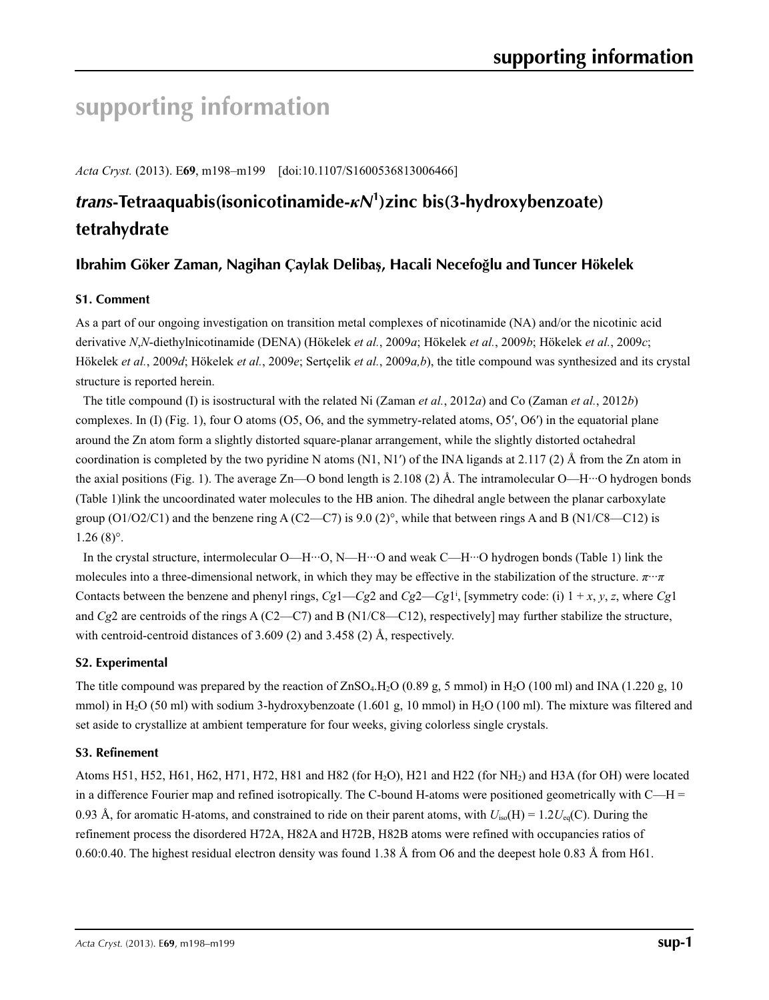# **supporting information**

*Acta Cryst.* (2013). E**69**, m198–m199 [doi:10.1107/S1600536813006466]

## *trans***-Tetraaquabis(isonicotinamide-***κN***<sup>1</sup> )zinc bis(3-hydroxybenzoate) tetrahydrate**

## **Ibrahim Göker Zaman, Nagihan Çaylak Delibaş, Hacali Necefoğlu and Tuncer Hökelek**

## **S1. Comment**

As a part of our ongoing investigation on transition metal complexes of nicotinamide (NA) and/or the nicotinic acid derivative *N*,*N*-diethylnicotinamide (DENA) (Hökelek *et al.*, 2009*a*; Hökelek *et al.*, 2009*b*; Hökelek *et al.*, 2009*c*; Hökelek *et al.*, 2009*d*; Hökelek *et al.*, 2009*e*; Sertçelik *et al.*, 2009*a,b*), the title compound was synthesized and its crystal structure is reported herein.

The title compound (I) is isostructural with the related Ni (Zaman *et al.*, 2012*a*) and Co (Zaman *et al.*, 2012*b*) complexes. In (I) (Fig. 1), four O atoms (O5, O6, and the symmetry-related atoms, O5′, O6′) in the equatorial plane around the Zn atom form a slightly distorted square-planar arrangement, while the slightly distorted octahedral coordination is completed by the two pyridine N atoms (N1, N1') of the INA ligands at 2.117 (2) Å from the Zn atom in the axial positions (Fig. 1). The average Zn—O bond length is 2.108 (2) Å. The intramolecular O—H…O hydrogen bonds (Table 1)link the uncoordinated water molecules to the HB anion. The dihedral angle between the planar carboxylate group  $(O1/O2/C1)$  and the benzene ring A  $(C2-C7)$  is 9.0  $(2)^\circ$ , while that between rings A and B (N1/C8—C12) is 1.26 (8)°.

In the crystal structure, intermolecular O—H···O, N—H···O and weak C—H···O hydrogen bonds (Table 1) link the molecules into a three-dimensional network, in which they may be effective in the stabilization of the structure. *π*···*π* Contacts between the benzene and phenyl rings,  $Cgl - Cg2$  and  $Cg2 - Cg1$ <sup>i</sup>, [symmetry code: (i)  $1 + x, y, z$ , where  $Cg1$ and *Cg*2 are centroids of the rings A (C2—C7) and B (N1/C8—C12), respectively] may further stabilize the structure, with centroid-centroid distances of 3.609 (2) and 3.458 (2) Å, respectively.

## **S2. Experimental**

The title compound was prepared by the reaction of  $ZnSO_4.H_2O$  (0.89 g, 5 mmol) in  $H_2O$  (100 ml) and INA (1.220 g, 10 mmol) in  $H_2O$  (50 ml) with sodium 3-hydroxybenzoate (1.601 g, 10 mmol) in  $H_2O$  (100 ml). The mixture was filtered and set aside to crystallize at ambient temperature for four weeks, giving colorless single crystals.

## **S3. Refinement**

Atoms H51, H52, H61, H62, H71, H72, H81 and H82 (for H<sub>2</sub>O), H21 and H22 (for NH<sub>2</sub>) and H3A (for OH) were located in a difference Fourier map and refined isotropically. The C-bound H-atoms were positioned geometrically with  $C-H =$ 0.93 Å, for aromatic H-atoms, and constrained to ride on their parent atoms, with  $U_{iso}(H) = 1.2U_{eq}(C)$ . During the refinement process the disordered H72A, H82A and H72B, H82B atoms were refined with occupancies ratios of 0.60:0.40. The highest residual electron density was found 1.38 Å from O6 and the deepest hole 0.83 Å from H61.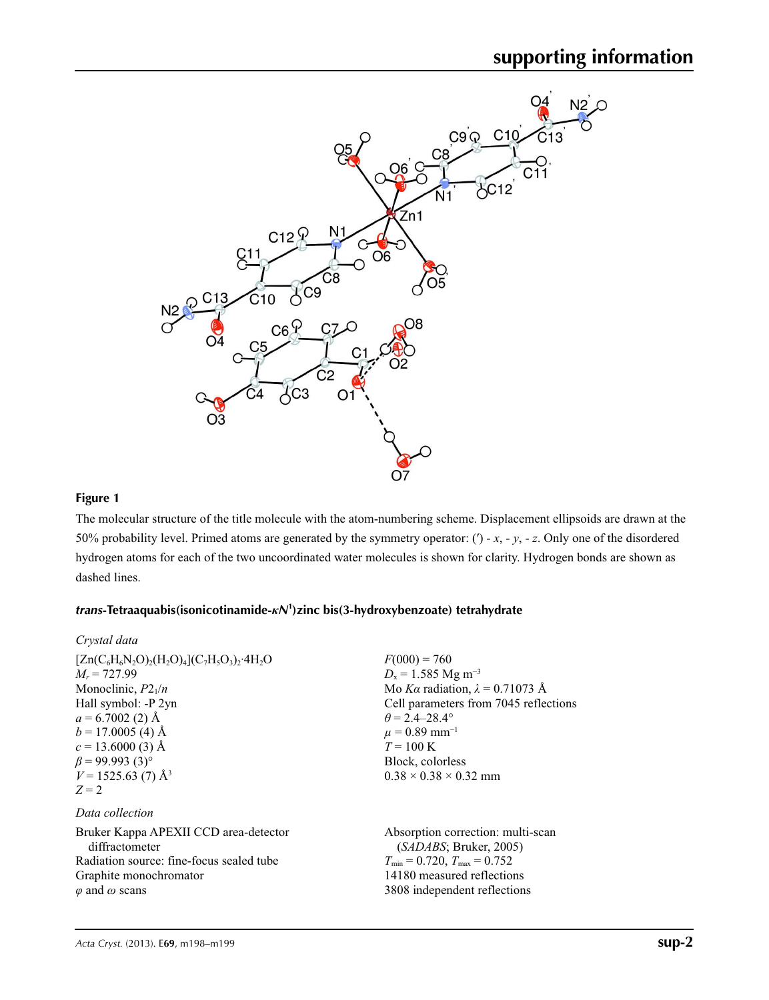

## **Figure 1**

*Crystal data*

The molecular structure of the title molecule with the atom-numbering scheme. Displacement ellipsoids are drawn at the 50% probability level. Primed atoms are generated by the symmetry operator: (′) - *x*, - *y*, - *z*. Only one of the disordered hydrogen atoms for each of the two uncoordinated water molecules is shown for clarity. Hydrogen bonds are shown as dashed lines.

## *trans***-Tetraaquabis(isonicotinamide-***κN***<sup>1</sup> )zinc bis(3-hydroxybenzoate) tetrahydrate**

| $[Zn(C_6H_6N_2O)_2(H_2O)_4(C_7H_5O_3)_2.4H_2O$ | $F(000) = 760$                          |
|------------------------------------------------|-----------------------------------------|
| $M_r = 727.99$                                 | $D_x = 1.585$ Mg m <sup>-3</sup>        |
| Monoclinic, $P2_1/n$                           | Mo Ka radiation, $\lambda = 0.71073$ Å  |
| Hall symbol: -P 2yn                            | Cell parameters from 7045 reflections   |
| $a = 6.7002$ (2) Å                             | $\theta = 2.4 - 28.4^{\circ}$           |
| $b = 17.0005$ (4) Å                            | $\mu = 0.89$ mm <sup>-1</sup>           |
| $c = 13.6000(3)$ Å                             | $T = 100 \text{ K}$                     |
| $\beta$ = 99.993 (3) <sup>o</sup>              | Block, colorless                        |
| $V = 1525.63(7)$ Å <sup>3</sup>                | $0.38 \times 0.38 \times 0.32$ mm       |
| $Z=2$                                          |                                         |
| Data collection                                |                                         |
| Bruker Kappa APEXII CCD area-detector          | Absorption correction: multi-scan       |
| diffractometer                                 | (SADABS; Bruker, 2005)                  |
| Radiation source: fine-focus sealed tube       | $T_{\min} = 0.720$ , $T_{\max} = 0.752$ |
| Graphite monochromator                         | 14180 measured reflections              |
| $\varphi$ and $\omega$ scans                   | 3808 independent reflections            |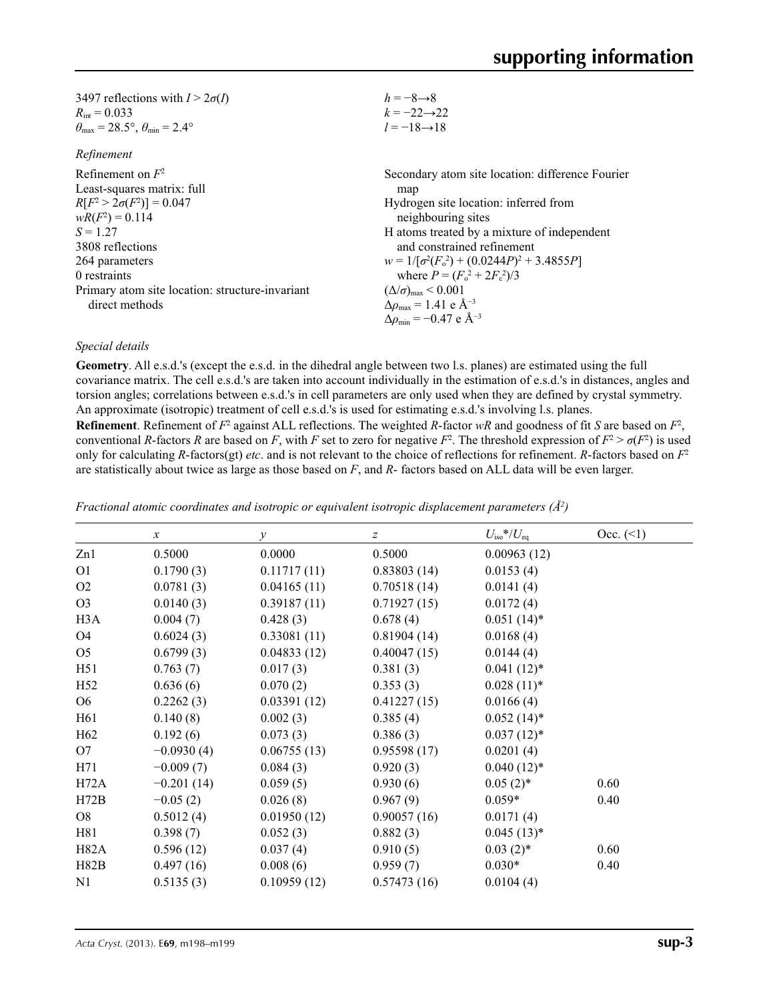| 3497 reflections with $I > 2\sigma(I)$                                     | $h = -8 \rightarrow 8$                             |
|----------------------------------------------------------------------------|----------------------------------------------------|
| $R_{\text{int}} = 0.033$                                                   | $k = -22 \rightarrow 22$                           |
| $\theta_{\text{max}} = 28.5^{\circ}$ , $\theta_{\text{min}} = 2.4^{\circ}$ | $l = -18 \rightarrow 18$                           |
| Refinement                                                                 |                                                    |
| Refinement on $F^2$                                                        | Secondary atom site location: difference Fourier   |
| Least-squares matrix: full                                                 | map                                                |
| $R[F^2 > 2\sigma(F^2)] = 0.047$                                            | Hydrogen site location: inferred from              |
| $wR(F^2) = 0.114$                                                          | neighbouring sites                                 |
| $S = 1.27$                                                                 | H atoms treated by a mixture of independent        |
| 3808 reflections                                                           | and constrained refinement                         |
| 264 parameters                                                             | $w = 1/[\sigma^2(F_0^2) + (0.0244P)^2 + 3.4855P]$  |
| 0 restraints                                                               | where $P = (F_0^2 + 2F_c^2)/3$                     |
| Primary atom site location: structure-invariant                            | $(\Delta/\sigma)_{\text{max}}$ < 0.001             |
| direct methods                                                             | $\Delta\rho_{\text{max}} = 1.41$ e Å <sup>-3</sup> |
|                                                                            | $\Delta\rho_{\rm min} = -0.47$ e Å <sup>-3</sup>   |

### *Special details*

**Geometry**. All e.s.d.'s (except the e.s.d. in the dihedral angle between two l.s. planes) are estimated using the full covariance matrix. The cell e.s.d.'s are taken into account individually in the estimation of e.s.d.'s in distances, angles and torsion angles; correlations between e.s.d.'s in cell parameters are only used when they are defined by crystal symmetry. An approximate (isotropic) treatment of cell e.s.d.'s is used for estimating e.s.d.'s involving l.s. planes.

**Refinement**. Refinement of  $F^2$  against ALL reflections. The weighted *R*-factor  $wR$  and goodness of fit *S* are based on  $F^2$ , conventional *R*-factors *R* are based on *F*, with *F* set to zero for negative  $F^2$ . The threshold expression of  $F^2 > \sigma(F^2)$  is used only for calculating *R*-factors(gt) *etc*. and is not relevant to the choice of reflections for refinement. *R*-factors based on *F*<sup>2</sup> are statistically about twice as large as those based on *F*, and *R*- factors based on ALL data will be even larger.

|                  | $\boldsymbol{x}$ | $\mathcal{Y}$ | $\boldsymbol{Z}$ | $U_{\rm iso}*/U_{\rm eq}$ | Occ. (2) |
|------------------|------------------|---------------|------------------|---------------------------|----------|
| Zn1              | 0.5000           | 0.0000        | 0.5000           | 0.00963(12)               |          |
| O <sub>1</sub>   | 0.1790(3)        | 0.11717(11)   | 0.83803(14)      | 0.0153(4)                 |          |
| O <sub>2</sub>   | 0.0781(3)        | 0.04165(11)   | 0.70518(14)      | 0.0141(4)                 |          |
| O <sub>3</sub>   | 0.0140(3)        | 0.39187(11)   | 0.71927(15)      | 0.0172(4)                 |          |
| H <sub>3</sub> A | 0.004(7)         | 0.428(3)      | 0.678(4)         | $0.051(14)$ *             |          |
| O <sub>4</sub>   | 0.6024(3)        | 0.33081(11)   | 0.81904(14)      | 0.0168(4)                 |          |
| O <sub>5</sub>   | 0.6799(3)        | 0.04833(12)   | 0.40047(15)      | 0.0144(4)                 |          |
| H51              | 0.763(7)         | 0.017(3)      | 0.381(3)         | $0.041(12)^*$             |          |
| H <sub>52</sub>  | 0.636(6)         | 0.070(2)      | 0.353(3)         | $0.028(11)*$              |          |
| O <sub>6</sub>   | 0.2262(3)        | 0.03391(12)   | 0.41227(15)      | 0.0166(4)                 |          |
| H <sub>61</sub>  | 0.140(8)         | 0.002(3)      | 0.385(4)         | $0.052(14)$ *             |          |
| H <sub>62</sub>  | 0.192(6)         | 0.073(3)      | 0.386(3)         | $0.037(12)*$              |          |
| O7               | $-0.0930(4)$     | 0.06755(13)   | 0.95598(17)      | 0.0201(4)                 |          |
| H71              | $-0.009(7)$      | 0.084(3)      | 0.920(3)         | $0.040(12)*$              |          |
| H72A             | $-0.201(14)$     | 0.059(5)      | 0.930(6)         | $0.05(2)$ *               | 0.60     |
| H72B             | $-0.05(2)$       | 0.026(8)      | 0.967(9)         | $0.059*$                  | 0.40     |
| O8               | 0.5012(4)        | 0.01950(12)   | 0.90057(16)      | 0.0171(4)                 |          |
| H81              | 0.398(7)         | 0.052(3)      | 0.882(3)         | $0.045(13)*$              |          |
| H82A             | 0.596(12)        | 0.037(4)      | 0.910(5)         | $0.03(2)$ *               | 0.60     |
| H82B             | 0.497(16)        | 0.008(6)      | 0.959(7)         | $0.030*$                  | 0.40     |
| N1               | 0.5135(3)        | 0.10959(12)   | 0.57473(16)      | 0.0104(4)                 |          |

*Fractional atomic coordinates and isotropic or equivalent isotropic displacement parameters (Å<sup>2</sup>)*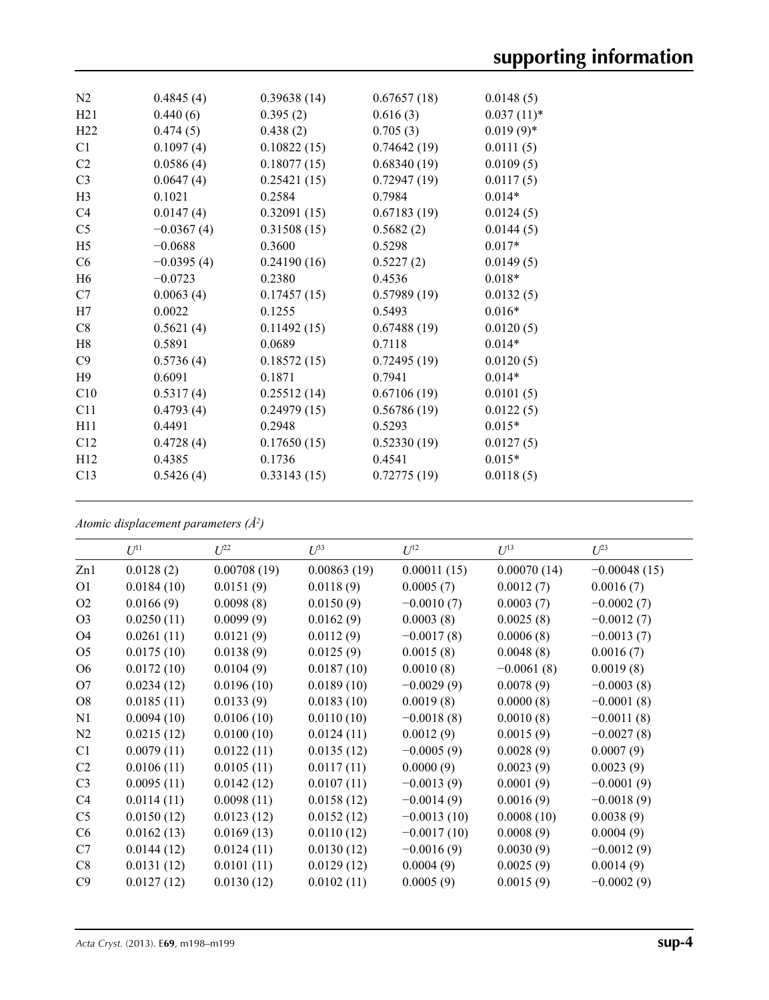| N <sub>2</sub>  | 0.4845(4)    | 0.39638(14) | 0.67657(18) | 0.0148(5)    |
|-----------------|--------------|-------------|-------------|--------------|
| H21             | 0.440(6)     | 0.395(2)    | 0.616(3)    | $0.037(11)*$ |
| H <sub>22</sub> | 0.474(5)     | 0.438(2)    | 0.705(3)    | $0.019(9)$ * |
| C1              | 0.1097(4)    | 0.10822(15) | 0.74642(19) | 0.0111(5)    |
| C2              | 0.0586(4)    | 0.18077(15) | 0.68340(19) | 0.0109(5)    |
| C <sub>3</sub>  | 0.0647(4)    | 0.25421(15) | 0.72947(19) | 0.0117(5)    |
| H <sub>3</sub>  | 0.1021       | 0.2584      | 0.7984      | $0.014*$     |
| C4              | 0.0147(4)    | 0.32091(15) | 0.67183(19) | 0.0124(5)    |
| C <sub>5</sub>  | $-0.0367(4)$ | 0.31508(15) | 0.5682(2)   | 0.0144(5)    |
| H <sub>5</sub>  | $-0.0688$    | 0.3600      | 0.5298      | $0.017*$     |
| C6              | $-0.0395(4)$ | 0.24190(16) | 0.5227(2)   | 0.0149(5)    |
| H <sub>6</sub>  | $-0.0723$    | 0.2380      | 0.4536      | $0.018*$     |
| C7              | 0.0063(4)    | 0.17457(15) | 0.57989(19) | 0.0132(5)    |
| H7              | 0.0022       | 0.1255      | 0.5493      | $0.016*$     |
| C8              | 0.5621(4)    | 0.11492(15) | 0.67488(19) | 0.0120(5)    |
| H <sub>8</sub>  | 0.5891       | 0.0689      | 0.7118      | $0.014*$     |
| C9              | 0.5736(4)    | 0.18572(15) | 0.72495(19) | 0.0120(5)    |
| H <sub>9</sub>  | 0.6091       | 0.1871      | 0.7941      | $0.014*$     |
| C10             | 0.5317(4)    | 0.25512(14) | 0.67106(19) | 0.0101(5)    |
| C11             | 0.4793(4)    | 0.24979(15) | 0.56786(19) | 0.0122(5)    |
| H11             | 0.4491       | 0.2948      | 0.5293      | $0.015*$     |
| C12             | 0.4728(4)    | 0.17650(15) | 0.52330(19) | 0.0127(5)    |
| H12             | 0.4385       | 0.1736      | 0.4541      | $0.015*$     |
| C13             | 0.5426(4)    | 0.33143(15) | 0.72775(19) | 0.0118(5)    |
|                 |              |             |             |              |

*Atomic displacement parameters (Å2 )*

|                | $U^{11}$   | $U^{22}$    | $U^{33}$    | $U^{12}$      | $U^{13}$     | $U^{23}$       |
|----------------|------------|-------------|-------------|---------------|--------------|----------------|
| Zn1            | 0.0128(2)  | 0.00708(19) | 0.00863(19) | 0.00011(15)   | 0.00070(14)  | $-0.00048(15)$ |
| O <sub>1</sub> | 0.0184(10) | 0.0151(9)   | 0.0118(9)   | 0.0005(7)     | 0.0012(7)    | 0.0016(7)      |
| O <sub>2</sub> | 0.0166(9)  | 0.0098(8)   | 0.0150(9)   | $-0.0010(7)$  | 0.0003(7)    | $-0.0002(7)$   |
| O <sub>3</sub> | 0.0250(11) | 0.0099(9)   | 0.0162(9)   | 0.0003(8)     | 0.0025(8)    | $-0.0012(7)$   |
| O <sub>4</sub> | 0.0261(11) | 0.0121(9)   | 0.0112(9)   | $-0.0017(8)$  | 0.0006(8)    | $-0.0013(7)$   |
| O <sub>5</sub> | 0.0175(10) | 0.0138(9)   | 0.0125(9)   | 0.0015(8)     | 0.0048(8)    | 0.0016(7)      |
| O <sub>6</sub> | 0.0172(10) | 0.0104(9)   | 0.0187(10)  | 0.0010(8)     | $-0.0061(8)$ | 0.0019(8)      |
| O7             | 0.0234(12) | 0.0196(10)  | 0.0189(10)  | $-0.0029(9)$  | 0.0078(9)    | $-0.0003(8)$   |
| O <sub>8</sub> | 0.0185(11) | 0.0133(9)   | 0.0183(10)  | 0.0019(8)     | 0.0000(8)    | $-0.0001(8)$   |
| N1             | 0.0094(10) | 0.0106(10)  | 0.0110(10)  | $-0.0018(8)$  | 0.0010(8)    | $-0.0011(8)$   |
| N2             | 0.0215(12) | 0.0100(10)  | 0.0124(11)  | 0.0012(9)     | 0.0015(9)    | $-0.0027(8)$   |
| C1             | 0.0079(11) | 0.0122(11)  | 0.0135(12)  | $-0.0005(9)$  | 0.0028(9)    | 0.0007(9)      |
| C <sub>2</sub> | 0.0106(11) | 0.0105(11)  | 0.0117(11)  | 0.0000(9)     | 0.0023(9)    | 0.0023(9)      |
| C <sub>3</sub> | 0.0095(11) | 0.0142(12)  | 0.0107(11)  | $-0.0013(9)$  | 0.0001(9)    | $-0.0001(9)$   |
| C4             | 0.0114(11) | 0.0098(11)  | 0.0158(12)  | $-0.0014(9)$  | 0.0016(9)    | $-0.0018(9)$   |
| C <sub>5</sub> | 0.0150(12) | 0.0123(12)  | 0.0152(12)  | $-0.0013(10)$ | 0.0008(10)   | 0.0038(9)      |
| C <sub>6</sub> | 0.0162(13) | 0.0169(13)  | 0.0110(12)  | $-0.0017(10)$ | 0.0008(9)    | 0.0004(9)      |
| C7             | 0.0144(12) | 0.0124(11)  | 0.0130(12)  | $-0.0016(9)$  | 0.0030(9)    | $-0.0012(9)$   |
| C8             | 0.0131(12) | 0.0101(11)  | 0.0129(12)  | 0.0004(9)     | 0.0025(9)    | 0.0014(9)      |
| C9             | 0.0127(12) | 0.0130(12)  | 0.0102(11)  | 0.0005(9)     | 0.0015(9)    | $-0.0002(9)$   |
|                |            |             |             |               |              |                |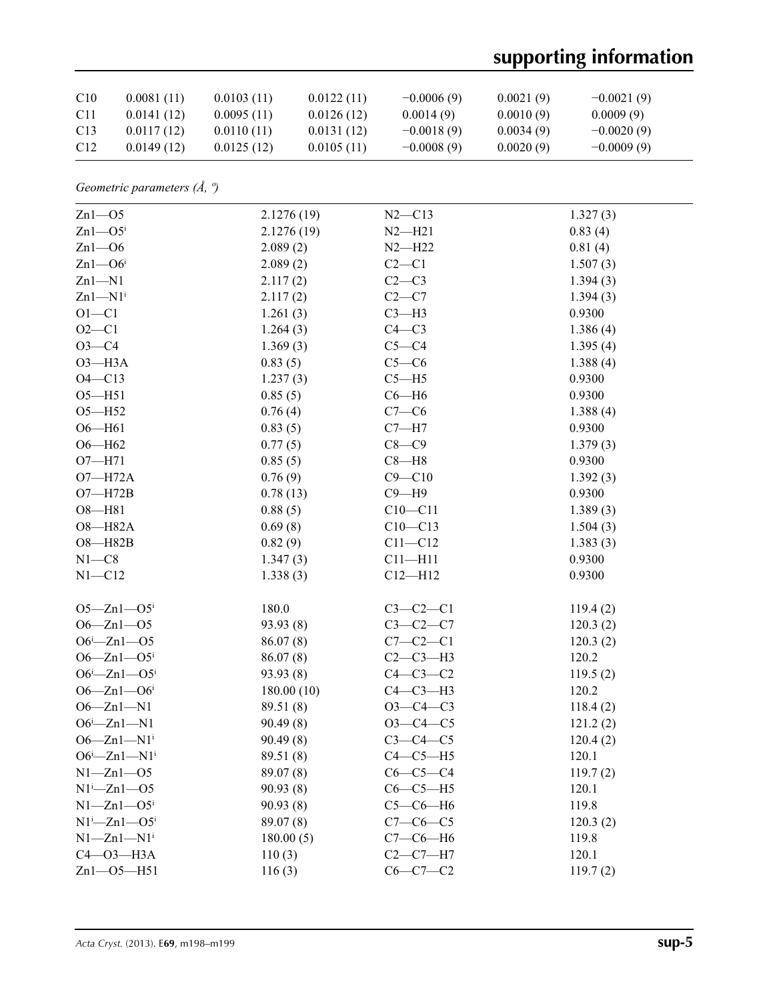## **supporting information**

| C10             | 0.0081(11) | 0.0103(11) | 0.0122(11) | $-0.0006(9)$ | 0.0021(9) | $-0.0021(9)$ |
|-----------------|------------|------------|------------|--------------|-----------|--------------|
| C <sub>11</sub> | 0.0141(12) | 0.0095(11) | 0.0126(12) | 0.0014(9)    | 0.0010(9) | 0.0009(9)    |
| C <sub>13</sub> | 0.0117(12) | 0.0110(11) | 0.0131(12) | $-0.0018(9)$ | 0.0034(9) | $-0.0020(9)$ |
| C <sub>12</sub> | 0.0149(12) | 0.0125(12) | 0.0105(11) | $-0.0008(9)$ | 0.0020(9) | $-0.0009(9)$ |

*Geometric parameters (Å, º)*

| $Zn1 - 05$                      | 2.1276(19) | $N2 - C13$  | 1.327(3) |
|---------------------------------|------------|-------------|----------|
| $Zn1$ — $O5i$                   | 2.1276(19) | $N2-H21$    | 0.83(4)  |
| $Zn1 - 06$                      | 2.089(2)   | $N2-H22$    | 0.81(4)  |
| $Zn1$ -O6 <sup>i</sup>          | 2.089(2)   | $C2-C1$     | 1.507(3) |
| $Zn1 - N1$                      | 2.117(2)   | $C2-C3$     | 1.394(3) |
| $Zn1 - N1$ <sup>i</sup>         | 2.117(2)   | $C2-C7$     | 1.394(3) |
| $O1 - C1$                       | 1.261(3)   | $C3-H3$     | 0.9300   |
| $O2 - C1$                       | 1.264(3)   | $C4-C3$     | 1.386(4) |
| $O3-C4$                         | 1.369(3)   | $C5 - C4$   | 1.395(4) |
| $O3-H3A$                        | 0.83(5)    | $C5-C6$     | 1.388(4) |
| $O4 - C13$                      | 1.237(3)   | $C5 - H5$   | 0.9300   |
| $O5 - H51$                      | 0.85(5)    | $C6 - H6$   | 0.9300   |
| $O5 - H52$                      | 0.76(4)    | $C7-C6$     | 1.388(4) |
| $O6 - H61$                      | 0.83(5)    | $C7 - H7$   | 0.9300   |
| $O6 - H62$                      | 0.77(5)    | $C8 - C9$   | 1.379(3) |
| $O7 - H71$                      | 0.85(5)    | $C8 - H8$   | 0.9300   |
| $O7 - H72A$                     | 0.76(9)    | $C9 - C10$  | 1.392(3) |
| $O7 - H72B$                     | 0.78(13)   | $C9 - H9$   | 0.9300   |
| $O8 - H81$                      | 0.88(5)    | $C10 - C11$ | 1.389(3) |
| O8-H82A                         | 0.69(8)    | $C10 - C13$ | 1.504(3) |
| $O8 - H82B$                     | 0.82(9)    | $C11 - C12$ | 1.383(3) |
| $N1 - C8$                       | 1.347(3)   | $C11 - H11$ | 0.9300   |
| $N1 - C12$                      | 1.338(3)   | $C12 - H12$ | 0.9300   |
| $O5 - Zn1 - O5$                 | 180.0      | $C3-C2-C1$  | 119.4(2) |
| $O6 - Zn1 - O5$                 | 93.93(8)   | $C3-C2-C7$  | 120.3(2) |
| $O6i - Zn1 - O5$                | 86.07(8)   | $C7-C2-C1$  | 120.3(2) |
| $O6 - Zn1 - O5$                 | 86.07(8)   | $C2-C3-H3$  | 120.2    |
| $O6i - Zn1 - O5i$               | 93.93(8)   | $C4-C3-C2$  | 119.5(2) |
| $O6 - Zn1 - O6$                 | 180.00(10) | $C4-C3-H3$  | 120.2    |
| $O6 - Zn1 - N1$                 | 89.51 (8)  | $O3-C4-C3$  | 118.4(2) |
| $O6^i$ -Zn1-N1                  | 90.49(8)   | $O3-C4-C5$  | 121.2(2) |
| $O6 - Zn1 - N1$ <sup>i</sup>    | 90.49(8)   | $C3-C4-C5$  | 120.4(2) |
| $O6^{i}$ -Zn1-N1 <sup>i</sup>   | 89.51 (8)  | $C4-C5-H5$  | 120.1    |
| $N1 - Zn1 - 05$                 | 89.07(8)   | $C6-C5-C4$  | 119.7(2) |
| $N1^i$ -Zn $1$ -O5              | 90.93(8)   | $C6-C5-H5$  | 120.1    |
| $N1 - Zn1 - O5$                 | 90.93(8)   | $C5-C6-H6$  | 119.8    |
| $N1^i$ -Zn $1$ -O5 <sup>i</sup> | 89.07(8)   | $C7-C6-C5$  | 120.3(2) |
| $N1 - Zn1 - N1$ <sup>i</sup>    | 180.00(5)  | $C7-C6-H6$  | 119.8    |
| $C4 - O3 - H3A$                 | 110(3)     | $C2-C7-H7$  | 120.1    |
| $Zn1 - 05 - H51$                | 116(3)     | $C6-C7-C2$  | 119.7(2) |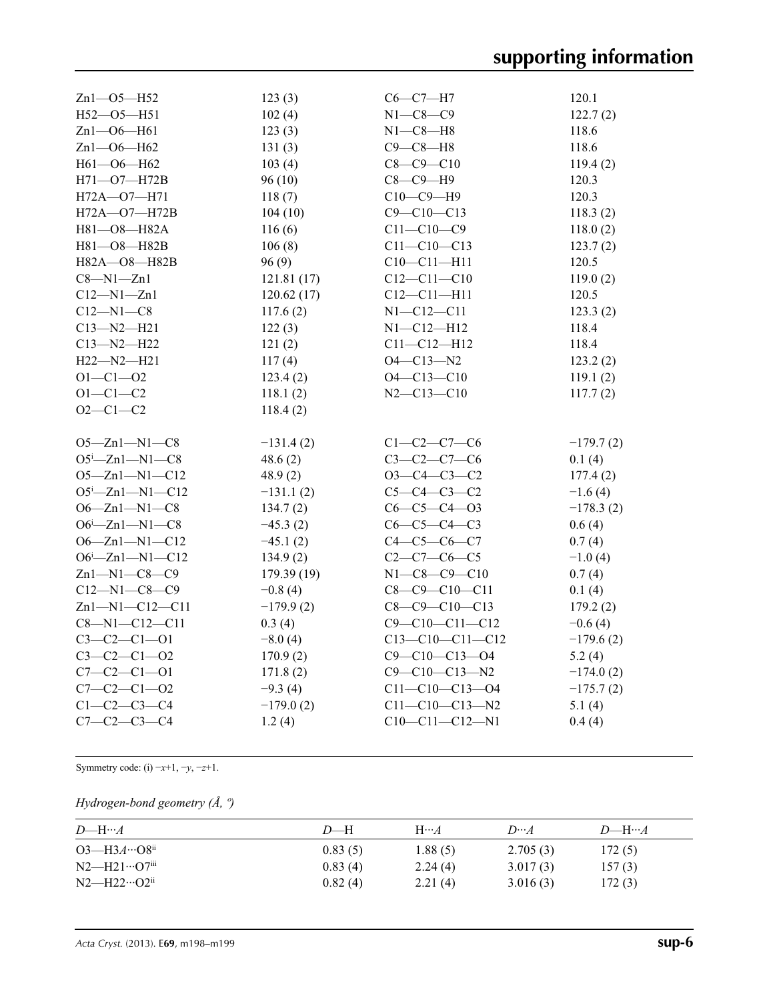| $Zn1 - 05 - H52$       | 123(3)      | $C6-C7-H7$             | 120.1       |
|------------------------|-------------|------------------------|-------------|
| H52-O5-H51             | 102(4)      | $N1 - C8 - C9$         | 122.7(2)    |
| $Zn1 - 06 - H61$       | 123(3)      | $N1-C8-H8$             | 118.6       |
| Zn1-O6-H62             | 131(3)      | $C9 - C8 - H8$         | 118.6       |
| H61-O6-H62             | 103(4)      | $C8 - C9 - C10$        | 119.4(2)    |
| H71-O7-H72B            | 96(10)      | $C8-C9-H9$             | 120.3       |
| H72A-O7-H71            | 118(7)      | $C10-C9-H9$            | 120.3       |
| H72A-O7-H72B           | 104(10)     | $C9 - C10 - C13$       | 118.3(2)    |
| H81-O8-H82A            | 116(6)      | $C11 - C10 - C9$       | 118.0(2)    |
| H81-O8-H82B            | 106(8)      | $C11 - C10 - C13$      | 123.7(2)    |
| H82A-O8-H82B           | 96(9)       | $C10 - C11 - H11$      | 120.5       |
| $C8 - N1 - Zn1$        | 121.81(17)  | $C12 - C11 - C10$      | 119.0(2)    |
| $C12 - N1 - Zn1$       | 120.62(17)  | $C12 - C11 - H11$      | 120.5       |
| $C12 - N1 - C8$        | 117.6(2)    | $N1 - C12 - C11$       | 123.3(2)    |
| $C13 - N2 - H21$       | 122(3)      | $N1 - C12 - H12$       | 118.4       |
| $C13 - N2 - H22$       | 121(2)      | $C11 - C12 - H12$      | 118.4       |
| $H22 - N2 - H21$       | 117(4)      | $O4 - C13 - N2$        | 123.2(2)    |
| $O1 - C1 - O2$         | 123.4(2)    | $O4 - C13 - C10$       | 119.1(2)    |
| $O1 - C1 - C2$         | 118.1(2)    | $N2 - C13 - C10$       | 117.7(2)    |
| $O2 - C1 - C2$         | 118.4(2)    |                        |             |
|                        |             |                        |             |
| $O5 - Zn1 - N1 - C8$   | $-131.4(2)$ | $C1 - C2 - C7 - C6$    | $-179.7(2)$ |
| $O5^{i}$ -Zn1-N1-C8    | 48.6(2)     | $C3 - C2 - C7 - C6$    | 0.1(4)      |
| $O5 - Zn1 - N1 - C12$  | 48.9(2)     | $O3-C4-C3-C2$          | 177.4(2)    |
| $O5^{i}$ -Zn1-N1-C12   | $-131.1(2)$ | $C5 - C4 - C3 - C2$    | $-1.6(4)$   |
| $O6 - Zn1 - N1 - C8$   | 134.7(2)    | $C6 - C5 - C4 - 03$    | $-178.3(2)$ |
| $O6^{i}$ -Zn1-N1-C8    | $-45.3(2)$  | $C6-C5-C4-C3$          | 0.6(4)      |
| $O6 - Zn1 - N1 - C12$  | $-45.1(2)$  | $C4 - C5 - C6 - C7$    | 0.7(4)      |
| $O6^i$ -Zn1-N1-C12     | 134.9(2)    | $C2 - C7 - C6 - C5$    | $-1.0(4)$   |
| $Zn1 - N1 - C8 - C9$   | 179.39 (19) | $N1 - C8 - C9 - C10$   | 0.7(4)      |
| $C12 - N1 - C8 - C9$   | $-0.8(4)$   | $C8 - C9 - C10 - C11$  | 0.1(4)      |
| $Zn1 - N1 - C12 - C11$ | $-179.9(2)$ | $C8 - C9 - C10 - C13$  | 179.2(2)    |
| $C8 - N1 - C12 - C11$  | 0.3(4)      | $C9 - C10 - C11 - C12$ | $-0.6(4)$   |
| $C3 - C2 - C1 - 01$    | $-8.0(4)$   | $C13-C10-C11-C12$      | $-179.6(2)$ |
| $C3 - C2 - C1 - 02$    | 170.9(2)    | $C9 - C10 - C13 - O4$  | 5.2(4)      |
| $C7 - C2 - C1 - 01$    | 171.8(2)    | $C9 - C10 - C13 - N2$  | $-174.0(2)$ |
| $C7 - C2 - C1 - 02$    | $-9.3(4)$   | $C11-C10-C13-04$       | $-175.7(2)$ |
| $C1 - C2 - C3 - C4$    | $-179.0(2)$ | $C11 - C10 - C13 - N2$ | 5.1(4)      |
| $C7 - C2 - C3 - C4$    | 1.2(4)      | $C10-C11-C12-N1$       | 0.4(4)      |
|                        |             |                        |             |

Symmetry code: (i)  $-x+1$ ,  $-y$ ,  $-z+1$ .

## *Hydrogen-bond geometry (Å, º)*

| $D$ —H… $A$                        | $D$ —H  | $H \cdots A$ | $D\cdots A$ | $D$ —H… $A$ |
|------------------------------------|---------|--------------|-------------|-------------|
| $O3 - H3A \cdots O8$ <sup>ii</sup> | 0.83(5) | 1.88(5)      | 2.705(3)    | 172(5)      |
| $N2$ —H21…O7 <sup>iii</sup>        | 0.83(4) | 2.24(4)      | 3.017(3)    | 157(3)      |
| $N2$ —H22…O2 <sup>ii</sup>         | 0.82(4) | 2.21(4)      | 3.016(3)    | 172(3)      |